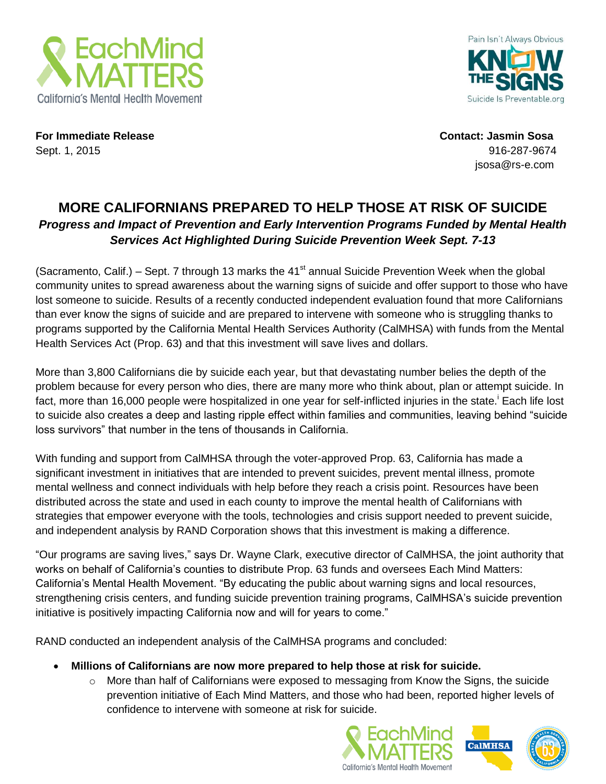



**For Immediate Release Contact: Jasmin Sosa** Sept. 1, 2015 916-287-9674

jsosa@rs-e.com

## **MORE CALIFORNIANS PREPARED TO HELP THOSE AT RISK OF SUICIDE** *Progress and Impact of Prevention and Early Intervention Programs Funded by Mental Health Services Act Highlighted During Suicide Prevention Week Sept. 7-13*

(Sacramento, Calif.) – Sept. 7 through 13 marks the  $41<sup>st</sup>$  annual Suicide Prevention Week when the global community unites to spread awareness about the warning signs of suicide and offer support to those who have lost someone to suicide. Results of a recently conducted independent evaluation found that more Californians than ever know the signs of suicide and are prepared to intervene with someone who is struggling thanks to programs supported by the California Mental Health Services Authority (CalMHSA) with funds from the Mental Health Services Act (Prop. 63) and that this investment will save lives and dollars.

More than 3,800 Californians die by suicide each year, but that devastating number belies the depth of the problem because for every person who dies, there are many more who think about, plan or attempt suicide. In fact, more than 16,000 people were hospitalized in one year for self-inflicted injuries in the state.<sup>i</sup> Each life lost to suicide also creates a deep and lasting ripple effect within families and communities, leaving behind "suicide loss survivors" that number in the tens of thousands in California.

With funding and support from CalMHSA through the voter-approved Prop. 63, California has made a significant investment in initiatives that are intended to prevent suicides, prevent mental illness, promote mental wellness and connect individuals with help before they reach a crisis point. Resources have been distributed across the state and used in each county to improve the mental health of Californians with strategies that empower everyone with the tools, technologies and crisis support needed to prevent suicide, and independent analysis by RAND Corporation shows that this investment is making a difference.

"Our programs are saving lives," says Dr. Wayne Clark, executive director of CalMHSA, the joint authority that works on behalf of California's counties to distribute Prop. 63 funds and oversees Each Mind Matters: California's Mental Health Movement. "By educating the public about warning signs and local resources, strengthening crisis centers, and funding suicide prevention training programs, CalMHSA's suicide prevention initiative is positively impacting California now and will for years to come."

RAND conducted an independent analysis of the CalMHSA programs and concluded:

- **Millions of Californians are now more prepared to help those at risk for suicide.** 
	- $\circ$  More than half of Californians were exposed to messaging from Know the Signs, the suicide prevention initiative of Each Mind Matters, and those who had been, reported higher levels of confidence to intervene with someone at risk for suicide.